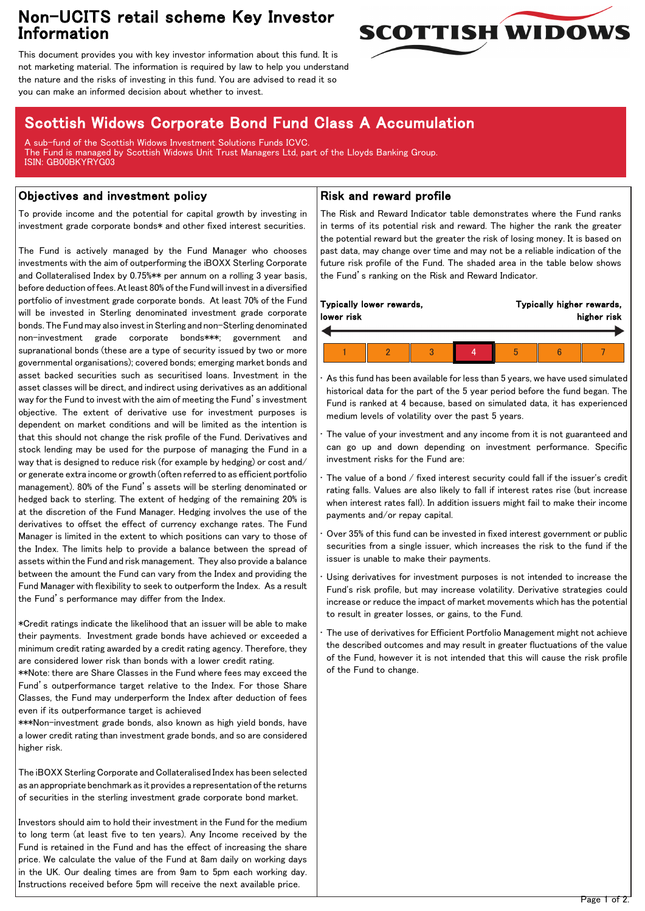## Non-UCITS retail scheme Key Investor Information



This document provides you with key investor information about this fund. It is not marketing material. The information is required by law to help you understand the nature and the risks of investing in this fund. You are advised to read it so you can make an informed decision about whether to invest.

# Scottish Widows Corporate Bond Fund Class A Accumulation

A sub-fund of the Scottish Widows Investment Solutions Funds ICVC. The Fund is managed by Scottish Widows Unit Trust Managers Ltd, part of the Lloyds Banking Group. ISIN: GB00BKYRYG03

### Objectives and investment policy

To provide income and the potential for capital growth by investing in investment grade corporate bonds\* and other fixed interest securities.

The Fund is actively managed by the Fund Manager who chooses investments with the aim of outperforming the iBOXX Sterling Corporate and Collateralised Index by 0.75%\*\* per annum on a rolling 3 year basis, before deduction of fees. At least 80% of the Fund will invest in a diversified portfolio of investment grade corporate bonds. At least 70% of the Fund will be invested in Sterling denominated investment grade corporate bonds. The Fund may also invest in Sterling and non-Sterling denominated non-investment grade corporate bonds\*\*\*; government and supranational bonds (these are a type of security issued by two or more governmental organisations); covered bonds; emerging market bonds and asset backed securities such as securitised loans. Investment in the asset classes will be direct, and indirect using derivatives as an additional way for the Fund to invest with the aim of meeting the Fund's investment objective. The extent of derivative use for investment purposes is dependent on market conditions and will be limited as the intention is that this should not change the risk profile of the Fund. Derivatives and stock lending may be used for the purpose of managing the Fund in a way that is designed to reduce risk (for example by hedging) or cost and/ or generate extra income or growth (often referred to as efficient portfolio management). 80% of the Fund's assets will be sterling denominated or hedged back to sterling. The extent of hedging of the remaining 20% is at the discretion of the Fund Manager. Hedging involves the use of the derivatives to offset the effect of currency exchange rates. The Fund Manager is limited in the extent to which positions can vary to those of the Index. The limits help to provide a balance between the spread of assets within the Fund and risk management. They also provide a balance between the amount the Fund can vary from the Index and providing the Fund Manager with flexibility to seek to outperform the Index. As a result the Fund's performance may differ from the Index.

\*Credit ratings indicate the likelihood that an issuer will be able to make their payments. Investment grade bonds have achieved or exceeded a minimum credit rating awarded by a credit rating agency. Therefore, they are considered lower risk than bonds with a lower credit rating.

\*\*Note: there are Share Classes in the Fund where fees may exceed the Fund's outperformance target relative to the Index. For those Share Classes, the Fund may underperform the Index after deduction of fees even if its outperformance target is achieved

\*\*\*Non-investment grade bonds, also known as high yield bonds, have a lower credit rating than investment grade bonds, and so are considered higher risk.

The iBOXX Sterling Corporate and Collateralised Index has been selected as an appropriate benchmark as it provides a representation of the returns of securities in the sterling investment grade corporate bond market.

Investors should aim to hold their investment in the Fund for the medium to long term (at least five to ten years). Any Income received by the Fund is retained in the Fund and has the effect of increasing the share price. We calculate the value of the Fund at 8am daily on working days in the UK. Our dealing times are from 9am to 5pm each working day. Instructions received before 5pm will receive the next available price.

### Risk and reward profile

The Risk and Reward Indicator table demonstrates where the Fund ranks in terms of its potential risk and reward. The higher the rank the greater the potential reward but the greater the risk of losing money. It is based on past data, may change over time and may not be a reliable indication of the future risk profile of the Fund. The shaded area in the table below shows the Fund's ranking on the Risk and Reward Indicator.

| Typically lower rewards, |  |  |  | Typically higher rewards, |  |  |
|--------------------------|--|--|--|---------------------------|--|--|
| lower risk               |  |  |  | higher risk               |  |  |
|                          |  |  |  |                           |  |  |

• As this fund has been available for less than 5 years, we have used simulated historical data for the part of the 5 year period before the fund began. The Fund is ranked at 4 because, based on simulated data, it has experienced medium levels of volatility over the past 5 years.

The value of your investment and any income from it is not guaranteed and can go up and down depending on investment performance. Specific investment risks for the Fund are:

- The value of a bond / fixed interest security could fall if the issuer's credit rating falls. Values are also likely to fall if interest rates rise (but increase when interest rates fall). In addition issuers might fail to make their income payments and/or repay capital.
- Over 35% of this fund can be invested in fixed interest government or public securities from a single issuer, which increases the risk to the fund if the issuer is unable to make their payments.

Using derivatives for investment purposes is not intended to increase the Fund's risk profile, but may increase volatility. Derivative strategies could increase or reduce the impact of market movements which has the potential to result in greater losses, or gains, to the Fund.

The use of derivatives for Efficient Portfolio Management might not achieve the described outcomes and may result in greater fluctuations of the value of the Fund, however it is not intended that this will cause the risk profile of the Fund to change.